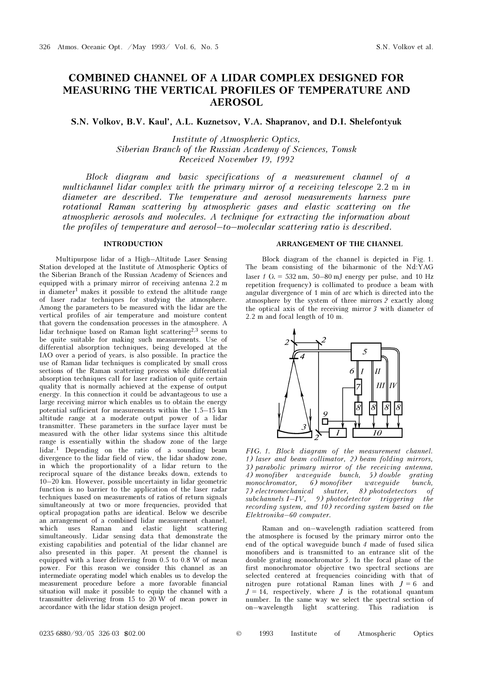# COMBINED CHANNEL OF A LIDAR COMPLEX DESIGNED FOR MEASURING THE VERTICAL PROFILES OF TEMPERATURE AND AEROSOL

S.N. Volkov, B.V. Kaul', A.L. Kuznetsov, V.A. Shapranov, and D.I. Shelefontyuk

Institute of Atmospheric Optics, Siberian Branch of the Russian Academy of Sciences, Tomsk Received November 19, 1992

Block diagram and basic specifications of a measurement channel of a multichannel lidar complex with the primary mirror of a receiving telescope 2.2 m in diameter are described. The temperature and aerosol measurements harness pure rotational Raman scattering by atmospheric gases and elastic scattering on the atmospheric aerosols and molecules. A technique for extracting the information about the profiles of temperature and aerosol–to–molecular scattering ratio is described.

#### INTRODUCTION

Multipurpose lidar of a High–Altitude Laser Sensing Station developed at the Institute of Atmospheric Optics of the Siberian Branch of the Russian Academy of Sciences and equipped with a primary mirror of receiving antenna 2.2 m in diameter<sup>1</sup> makes it possible to extend the altitude range of laser radar techniques for studying the atmosphere. Among the parameters to be measured with the lidar are the vertical profiles of air temperature and moisture content that govern the condensation processes in the atmosphere. A lidar technique based on Raman light scattering<sup>2,3</sup> seems to be quite suitable for making such measurements. Use of differential absorption techniques, being developed at the IAO over a period of years, is also possible. In practice the use of Raman lidar techniques is complicated by small cross sections of the Raman scattering process while differential absorption techniques call for laser radiation of quite certain quality that is normally achieved at the expense of output energy. In this connection it could be advantageous to use a large receiving mirror which enables us to obtain the energy potential sufficient for measurements within the 1.5–15 km altitude range at a moderate output power of a lidar transmitter. These parameters in the surface layer must be measured with the other lidar systems since this altitude range is essentially within the shadow zone of the large lidar.<sup>1</sup> Depending on the ratio of a sounding beam divergence to the lidar field of view, the lidar shadow zone, in which the proportionality of a lidar return to the reciprocal square of the distance breaks down, extends to 10–20 km. However, possible uncertainty in lidar geometric function is no barrier to the application of the laser radar techniques based on measurements of ratios of return signals simultaneously at two or more frequencies, provided that optical propagation paths are identical. Below we describe an arrangement of a combined lidar measurement channel, which uses Raman and elastic light scattering simultaneously. Lidar sensing data that demonstrate the existing capabilities and potential of the lidar channel are also presented in this paper. At present the channel is equipped with a laser delivering from 0.5 to 0.8 W of mean power. For this reason we consider this channel as an intermediate operating model which enables us to develop the measurement procedure before a more favorable financial situation will make it possible to equip the channel with a transmitter delivering from 15 to  $20 \text{ W}$  of mean power in accordance with the lidar station design project.

### ARRANGEMENT OF THE CHANNEL

Block diagram of the channel is depicted in Fig. 1. The beam consisting of the biharmonic of the Nd:YAG laser  $1$  ( $\lambda = 532$  nm, 50–80 mJ energy per pulse, and 10 Hz repetition frequency) is collimated to produce a beam with angular divergence of 1 min of arc which is directed into the atmosphere by the system of three mirrors 2 exactly along the optical axis of the receiving mirror 3 with diameter of 2.2 m and focal length of 10 m.



FIG. 1. Block diagram of the measurement channel. 1) laser and beam collimator, 2) beam folding mirrors, 3) parabolic primary mirror of the receiving antenna, 4) monofiber waveguide bunch, 5) double grating<br>monochromator, 6) monofiber waveguide bunch, monochromator,  $\ddot{\text{o}}$ ) monofiber waveguide bunch, 7) electromechanical shutter, 8) photodetectors of  $subchannels I-V, 9) photodetector triggering the$ recording system, and 10) recording system based on the Elektronika–60 computer.

Raman and on–wavelength radiation scattered from the atmosphere is focused by the primary mirror onto the end of the optical waveguide bunch 4 made of fused silica monofibers and is transmitted to an entrance slit of the double grating monochromator 5. In the focal plane of the first monochromator objective two spectral sections are selected centered at frequencies coinciding with that of nitrogen pure rotational Raman lines with  $J = 6$  and  $J = 14$ , respectively, where J is the rotational quantum number. In the same way we select the spectral section of on–wavelength light scattering. This radiation is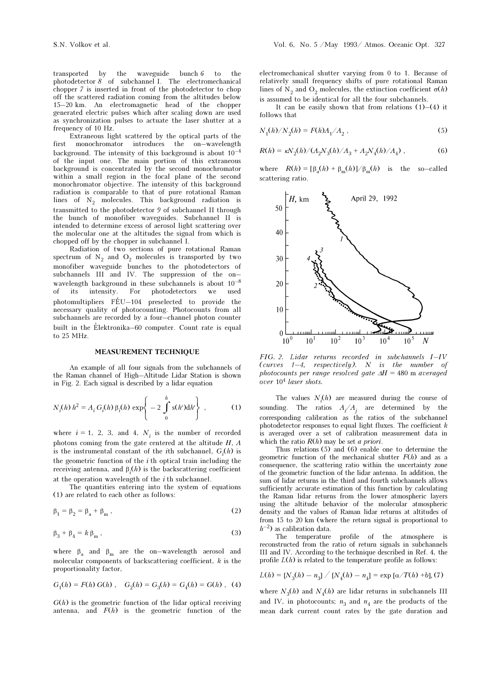transported by the waveguide bunch 6 to the photodetector 8 of subchannel I. The electromechanical chopper 7 is inserted in front of the photodetector to chop off the scattered radiation coming from the altitudes below 15–20 km. An electromagnetic head of the chopper generated electric pulses which after scaling down are used as synchronization pulses to actuate the laser shutter at a frequency of 10 Hz.

Extraneous light scattered by the optical parts of the first monochromator introduces the on–wavelength background. The intensity of this background is about  $10^{-4}$ of the input one. The main portion of this extraneous background is concentrated by the second monochromator within a small region in the focal plane of the second monochromator objective. The intensity of this background radiation is comparable to that of pure rotational Raman lines of  $N_2$  molecules. This background radiation is transmitted to the photodetector 9 of subchannel II through the bunch of monofiber waveguides. Subchannel II is intended to determine excess of aerosol light scattering over the molecular one at the altitudes the signal from which is chopped off by the chopper in subchannel I.

Radiation of two sections of pure rotational Raman spectrum of  $N_2$  and  $O_2$  molecules is transported by two monofiber waveguide bunches to the photodetectors of subchannels III and IV. The suppression of the on– wavelength background in these subchannels is about  $10^{-8}\,$ of its intensity. For photodetectors we used photomultipliers  $FEU-104$  preselected to provide the necessary quality of photocounting. Photocounts from all subchannels are recorded by a four–channel photon counter built in the Elektronika–60 computer. Count rate is equal to 25 MHz.

#### MEASUREMENT TECHNIQUE

An example of all four signals from the subchannels of the Raman channel of High–Altitude Lidar Station is shown in Fig. 2. Each signal is described by a lidar equation

$$
N_i(h) h^2 = A_i G_i(h) \beta_i(h) \exp \left\{ -2 \int_0^h s(h') dh' \right\},
$$
 (1)

where  $i = 1, 2, 3,$  and 4,  $N_i$  is the number of recorded photons coming from the gate centered at the altitude  $H$ ,  $A$ is the instrumental constant of the *i*th subchannel,  $G_i(h)$  is the geometric function of the  $i$  th optical train including the receiving antenna, and  $\beta_i(h)$  is the backscattering coefficient at the operation wavelength of the  $i$  th subchannel.

The quantities entering into the system of equations (1) are related to each other as follows:

$$
\beta_1 = \beta_2 = \beta_a + \beta_m , \qquad (2)
$$

$$
\beta_3 + \beta_4 = k \beta_m \,, \tag{3}
$$

where  $\beta_a$  and  $\beta_m$  are the on–wavelength aerosol and molecular components of backscattering coefficient,  $k$  is the proportionality factor,

$$
G_1(h) = F(h) G(h) , G_2(h) = G_3(h) = G_4(h) = G(h) , (4)
$$

 $G(h)$  is the geometric function of the lidar optical receiving antenna, and  $F(h)$  is the geometric function of the

electromechanical shutter varying from 0 to 1. Because of relatively small frequency shifts of pure rotational Raman lines of N<sub>2</sub> and O<sub>2</sub> molecules, the extinction coefficient  $\sigma(h)$ is assumed to be identical for all the four subchannels.

It can be easily shown that from relations  $(1)$ – $(4)$  it follows that

$$
N_1(h)/N_2(h) = F(h)A_1/A_2 ,
$$
 (5)

$$
R(h) = \kappa N_2(h) / (A_2 N_3(h) / A_3 + A_2 N_4(h) / A_4) , \qquad (6)
$$

where  $R(h) = [\beta_a(h) + \beta_m(h)]/\beta_m(h)$  is the so–called scattering ratio.



FIG. 2. Lidar returns recorded in subchannels I–IV (curves  $1-4$ , respectively). N is the number of photocounts per range resolved gate  $\Delta H = 480$  m averaged over 10<sup>4</sup> laser shots.

The values  $N_i(h)$  are measured during the course of sounding. The ratios  $A_i/A_j$  are determined by the corresponding calibration as the ratios of the subchannel photodetector responses to equal light fluxes. The coefficient  $\boldsymbol{k}$ is averaged over a set of calibration measurement data in which the ratio  $R(h)$  may be set *a priori*.

Thus relations (5) and (6) enable one to determine the geometric function of the mechanical shutter  $F(h)$  and as a consequence, the scattering ratio within the uncertainty zone of the geometric function of the lidar antenna. In addition, the sum of lidar returns in the third and fourth subchannels allows sufficiently accurate estimation of this function by calculating the Raman lidar returns from the lower atmospheric layers using the altitude behavior of the molecular atmospheric density and the values of Raman lidar returns at altitudes of from 15 to 20 km (where the return signal is proportional to  $h^{-2}$ ) as calibration data.

The temperature profile of the atmosphere is reconstructed from the ratio of return signals in subchannels III and IV. According to the technique described in Ref. 4, the profile  $L(h)$  is related to the temperature profile as follows:

$$
L(h) = [N_3(h) - n_3] / [N_4(h) - n_4] = \exp [\alpha / T(h) + b], (7)
$$

where  $N_3(h)$  and  $N_4(h)$  are lidar returns in subchannels III and IV, in photocounts;  $n_3$  and  $n_4$  are the products of the mean dark current count rates by the gate duration and